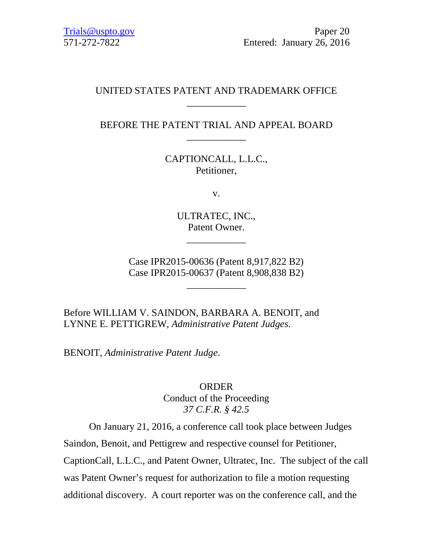# UNITED STATES PATENT AND TRADEMARK OFFICE \_\_\_\_\_\_\_\_\_\_\_\_

BEFORE THE PATENT TRIAL AND APPEAL BOARD \_\_\_\_\_\_\_\_\_\_\_\_

> CAPTIONCALL, L.L.C., Petitioner,

> > v.

ULTRATEC, INC., Patent Owner.

\_\_\_\_\_\_\_\_\_\_\_\_

Case IPR2015-00636 (Patent 8,917,822 B2) Case IPR2015-00637 (Patent 8,908,838 B2)

\_\_\_\_\_\_\_\_\_\_\_\_

Before WILLIAM V. SAINDON, BARBARA A. BENOIT, and LYNNE E. PETTIGREW, *Administrative Patent Judges*.

BENOIT, *Administrative Patent Judge*.

# ORDER Conduct of the Proceeding *37 C.F.R. § 42.5*

On January 21, 2016, a conference call took place between Judges

Saindon, Benoit, and Pettigrew and respective counsel for Petitioner,

CaptionCall, L.L.C., and Patent Owner, Ultratec, Inc. The subject of the call

was Patent Owner's request for authorization to file a motion requesting

additional discovery. A court reporter was on the conference call, and the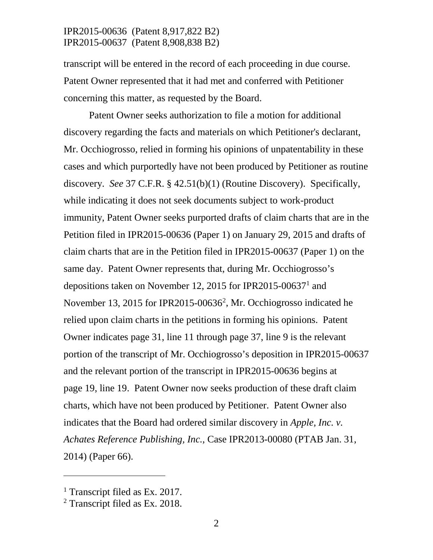transcript will be entered in the record of each proceeding in due course. Patent Owner represented that it had met and conferred with Petitioner concerning this matter, as requested by the Board.

Patent Owner seeks authorization to file a motion for additional discovery regarding the facts and materials on which Petitioner's declarant, Mr. Occhiogrosso, relied in forming his opinions of unpatentability in these cases and which purportedly have not been produced by Petitioner as routine discovery. *See* 37 C.F.R. § 42.51(b)(1) (Routine Discovery). Specifically, while indicating it does not seek documents subject to work-product immunity, Patent Owner seeks purported drafts of claim charts that are in the Petition filed in IPR2015-00636 (Paper 1) on January 29, 2015 and drafts of claim charts that are in the Petition filed in IPR2015-00637 (Paper 1) on the same day. Patent Owner represents that, during Mr. Occhiogrosso's depositions taken on November 12, 2015 for IPR2015-00637<sup>1</sup> and November 13, [2](#page-1-1)015 for IPR2015-00636<sup>2</sup>, Mr. Occhiogrosso indicated he relied upon claim charts in the petitions in forming his opinions. Patent Owner indicates page 31, line 11 through page 37, line 9 is the relevant portion of the transcript of Mr. Occhiogrosso's deposition in IPR2015-00637 and the relevant portion of the transcript in IPR2015-00636 begins at page 19, line 19. Patent Owner now seeks production of these draft claim charts, which have not been produced by Petitioner. Patent Owner also indicates that the Board had ordered similar discovery in *Apple, Inc. v. Achates Reference Publishing, Inc.*, Case IPR2013-00080 (PTAB Jan. 31, 2014) (Paper 66).

 $\overline{a}$ 

<span id="page-1-0"></span><sup>&</sup>lt;sup>1</sup> Transcript filed as Ex. 2017.

<span id="page-1-1"></span><sup>2</sup> Transcript filed as Ex. 2018.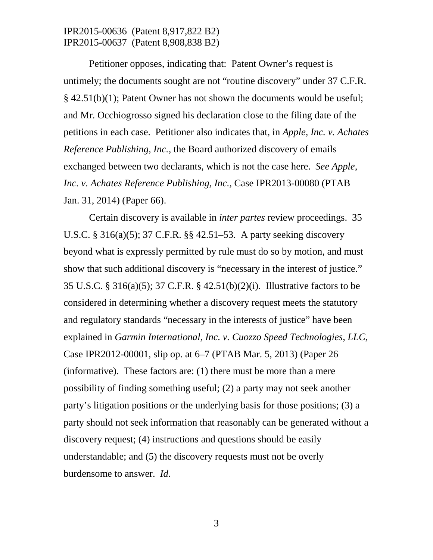Petitioner opposes, indicating that: Patent Owner's request is untimely; the documents sought are not "routine discovery" under 37 C.F.R. § 42.51(b)(1); Patent Owner has not shown the documents would be useful; and Mr. Occhiogrosso signed his declaration close to the filing date of the petitions in each case. Petitioner also indicates that, in *Apple, Inc. v. Achates Reference Publishing, Inc.*, the Board authorized discovery of emails exchanged between two declarants, which is not the case here. *See Apple, Inc. v. Achates Reference Publishing, Inc.*, Case IPR2013-00080 (PTAB Jan. 31, 2014) (Paper 66).

Certain discovery is available in *inter partes* review proceedings. 35 U.S.C. § 316(a)(5); 37 C.F.R. §§ 42.51–53. A party seeking discovery beyond what is expressly permitted by rule must do so by motion, and must show that such additional discovery is "necessary in the interest of justice." 35 U.S.C. § 316(a)(5); 37 C.F.R. § 42.51(b)(2)(i). Illustrative factors to be considered in determining whether a discovery request meets the statutory and regulatory standards "necessary in the interests of justice" have been explained in *Garmin International, Inc. v. Cuozzo Speed Technologies, LLC*, Case IPR2012-00001, slip op. at 6–7 (PTAB Mar. 5, 2013) (Paper 26 (informative). These factors are: (1) there must be more than a mere possibility of finding something useful; (2) a party may not seek another party's litigation positions or the underlying basis for those positions; (3) a party should not seek information that reasonably can be generated without a discovery request; (4) instructions and questions should be easily understandable; and (5) the discovery requests must not be overly burdensome to answer. *Id.*

3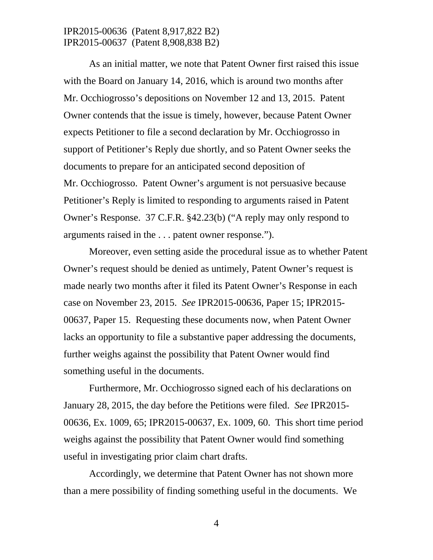As an initial matter, we note that Patent Owner first raised this issue with the Board on January 14, 2016, which is around two months after Mr. Occhiogrosso's depositions on November 12 and 13, 2015. Patent Owner contends that the issue is timely, however, because Patent Owner expects Petitioner to file a second declaration by Mr. Occhiogrosso in support of Petitioner's Reply due shortly, and so Patent Owner seeks the documents to prepare for an anticipated second deposition of Mr. Occhiogrosso. Patent Owner's argument is not persuasive because Petitioner's Reply is limited to responding to arguments raised in Patent Owner's Response. 37 C.F.R. §42.23(b) ("A reply may only respond to arguments raised in the . . . patent owner response.").

Moreover, even setting aside the procedural issue as to whether Patent Owner's request should be denied as untimely, Patent Owner's request is made nearly two months after it filed its Patent Owner's Response in each case on November 23, 2015. *See* IPR2015-00636, Paper 15; IPR2015- 00637, Paper 15. Requesting these documents now, when Patent Owner lacks an opportunity to file a substantive paper addressing the documents, further weighs against the possibility that Patent Owner would find something useful in the documents.

Furthermore, Mr. Occhiogrosso signed each of his declarations on January 28, 2015, the day before the Petitions were filed. *See* IPR2015- 00636, Ex. 1009, 65; IPR2015-00637, Ex. 1009, 60. This short time period weighs against the possibility that Patent Owner would find something useful in investigating prior claim chart drafts.

Accordingly, we determine that Patent Owner has not shown more than a mere possibility of finding something useful in the documents. We

4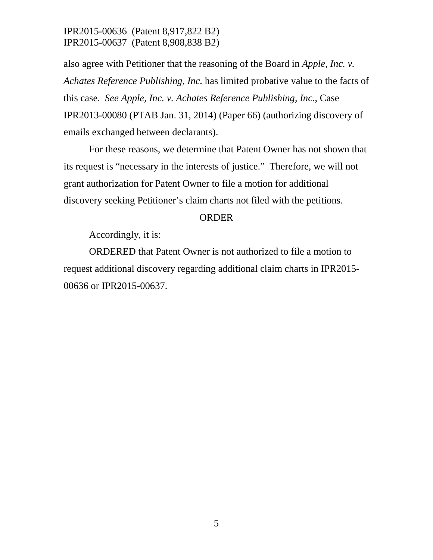also agree with Petitioner that the reasoning of the Board in *Apple, Inc. v. Achates Reference Publishing, Inc.* has limited probative value to the facts of this case. *See Apple, Inc. v. Achates Reference Publishing, Inc.*, Case IPR2013-00080 (PTAB Jan. 31, 2014) (Paper 66) (authorizing discovery of emails exchanged between declarants).

For these reasons, we determine that Patent Owner has not shown that its request is "necessary in the interests of justice." Therefore, we will not grant authorization for Patent Owner to file a motion for additional discovery seeking Petitioner's claim charts not filed with the petitions.

#### ORDER

Accordingly, it is:

ORDERED that Patent Owner is not authorized to file a motion to request additional discovery regarding additional claim charts in IPR2015- 00636 or IPR2015-00637.